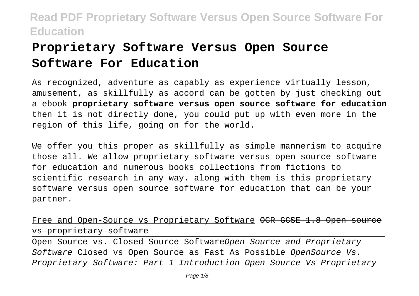# **Proprietary Software Versus Open Source Software For Education**

As recognized, adventure as capably as experience virtually lesson, amusement, as skillfully as accord can be gotten by just checking out a ebook **proprietary software versus open source software for education** then it is not directly done, you could put up with even more in the region of this life, going on for the world.

We offer you this proper as skillfully as simple mannerism to acquire those all. We allow proprietary software versus open source software for education and numerous books collections from fictions to scientific research in any way. along with them is this proprietary software versus open source software for education that can be your partner.

#### Free and Open-Source vs Proprietary Software OCR GCSE 1.8 Open vs proprietary software

Open Source vs. Closed Source SoftwareOpen Source and Proprietary Software Closed vs Open Source as Fast As Possible OpenSource Vs. Proprietary Software: Part 1 Introduction Open Source Vs Proprietary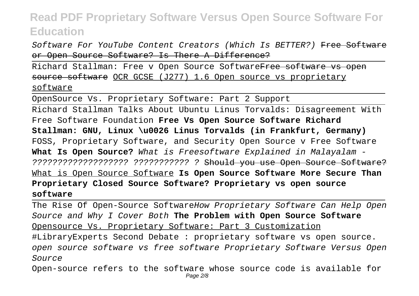Software For YouTube Content Creators (Which Is BETTER?) Free Software or Open Source Software? Is There A Difference?

Richard Stallman: Free v Open Source SoftwareFree software vs open source software OCR GCSE (J277) 1.6 Open source vs proprietary software

OpenSource Vs. Proprietary Software: Part 2 Support

Richard Stallman Talks About Ubuntu Linus Torvalds: Disagreement With Free Software Foundation **Free Vs Open Source Software Richard Stallman: GNU, Linux \u0026 Linus Torvalds (in Frankfurt, Germany)** FOSS, Proprietary Software, and Security Open Source v Free Software **What Is Open Source?** What is Freesoftware Explained in Malayalam - ??????????????????? ??????????? ? Should you use Open Source Software? What is Open Source Software **Is Open Source Software More Secure Than Proprietary Closed Source Software? Proprietary vs open source software**

The Rise Of Open-Source SoftwareHow Proprietary Software Can Help Open Source and Why I Cover Both **The Problem with Open Source Software** Opensource Vs. Proprietary Software: Part 3 Customization #LibraryExperts Second Debate : proprietary software vs open source. open source software vs free software Proprietary Software Versus Open Source

Open-source refers to the software whose source code is available for Page 2/8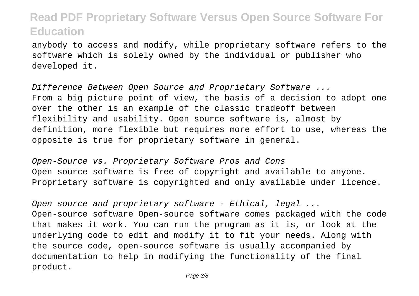anybody to access and modify, while proprietary software refers to the software which is solely owned by the individual or publisher who developed it.

Difference Between Open Source and Proprietary Software ... From a big picture point of view, the basis of a decision to adopt one over the other is an example of the classic tradeoff between flexibility and usability. Open source software is, almost by definition, more flexible but requires more effort to use, whereas the opposite is true for proprietary software in general.

Open-Source vs. Proprietary Software Pros and Cons Open source software is free of copyright and available to anyone. Proprietary software is copyrighted and only available under licence.

Open source and proprietary software - Ethical, legal ... Open-source software Open-source software comes packaged with the code that makes it work. You can run the program as it is, or look at the underlying code to edit and modify it to fit your needs. Along with the source code, open-source software is usually accompanied by documentation to help in modifying the functionality of the final product.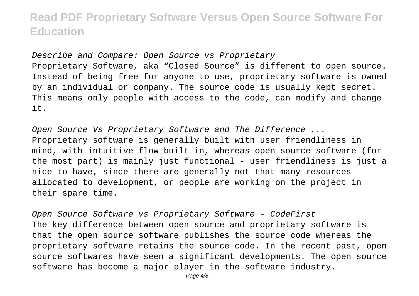Describe and Compare: Open Source vs Proprietary Proprietary Software, aka "Closed Source" is different to open source. Instead of being free for anyone to use, proprietary software is owned by an individual or company. The source code is usually kept secret. This means only people with access to the code, can modify and change it.

Open Source Vs Proprietary Software and The Difference ... Proprietary software is generally built with user friendliness in mind, with intuitive flow built in, whereas open source software (for the most part) is mainly just functional - user friendliness is just a nice to have, since there are generally not that many resources allocated to development, or people are working on the project in their spare time.

Open Source Software vs Proprietary Software - CodeFirst The key difference between open source and proprietary software is that the open source software publishes the source code whereas the proprietary software retains the source code. In the recent past, open source softwares have seen a significant developments. The open source software has become a major player in the software industry.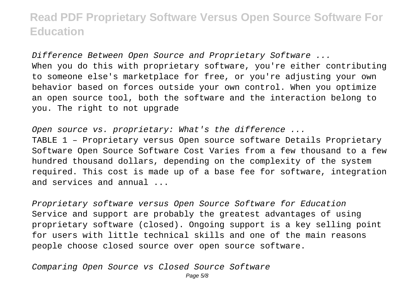Difference Between Open Source and Proprietary Software ... When you do this with proprietary software, you're either contributing to someone else's marketplace for free, or you're adjusting your own behavior based on forces outside your own control. When you optimize an open source tool, both the software and the interaction belong to you. The right to not upgrade

Open source vs. proprietary: What's the difference ...

TABLE 1 – Proprietary versus Open source software Details Proprietary Software Open Source Software Cost Varies from a few thousand to a few hundred thousand dollars, depending on the complexity of the system required. This cost is made up of a base fee for software, integration and services and annual ...

Proprietary software versus Open Source Software for Education Service and support are probably the greatest advantages of using proprietary software (closed). Ongoing support is a key selling point for users with little technical skills and one of the main reasons people choose closed source over open source software.

Comparing Open Source vs Closed Source Software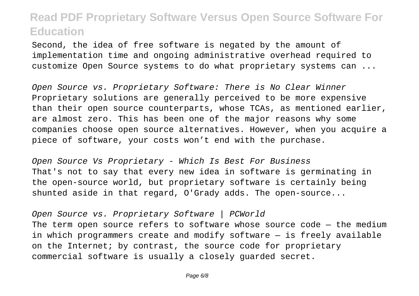Second, the idea of free software is negated by the amount of implementation time and ongoing administrative overhead required to customize Open Source systems to do what proprietary systems can ...

Open Source vs. Proprietary Software: There is No Clear Winner Proprietary solutions are generally perceived to be more expensive than their open source counterparts, whose TCAs, as mentioned earlier, are almost zero. This has been one of the major reasons why some companies choose open source alternatives. However, when you acquire a piece of software, your costs won't end with the purchase.

Open Source Vs Proprietary - Which Is Best For Business That's not to say that every new idea in software is germinating in the open-source world, but proprietary software is certainly being shunted aside in that regard, O'Grady adds. The open-source...

Open Source vs. Proprietary Software | PCWorld

The term open source refers to software whose source code  $-$  the medium in which programmers create and modify software — is freely available on the Internet; by contrast, the source code for proprietary commercial software is usually a closely guarded secret.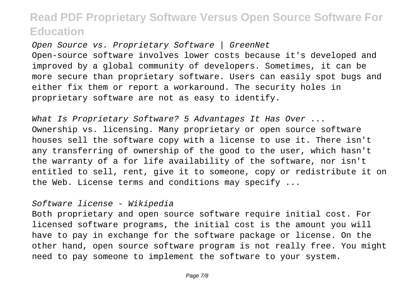Open Source vs. Proprietary Software | GreenNet Open-source software involves lower costs because it's developed and improved by a global community of developers. Sometimes, it can be more secure than proprietary software. Users can easily spot bugs and either fix them or report a workaround. The security holes in proprietary software are not as easy to identify.

What Is Proprietary Software? 5 Advantages It Has Over ... Ownership vs. licensing. Many proprietary or open source software houses sell the software copy with a license to use it. There isn't any transferring of ownership of the good to the user, which hasn't the warranty of a for life availability of the software, nor isn't entitled to sell, rent, give it to someone, copy or redistribute it on the Web. License terms and conditions may specify ...

#### Software license - Wikipedia

Both proprietary and open source software require initial cost. For licensed software programs, the initial cost is the amount you will have to pay in exchange for the software package or license. On the other hand, open source software program is not really free. You might need to pay someone to implement the software to your system.